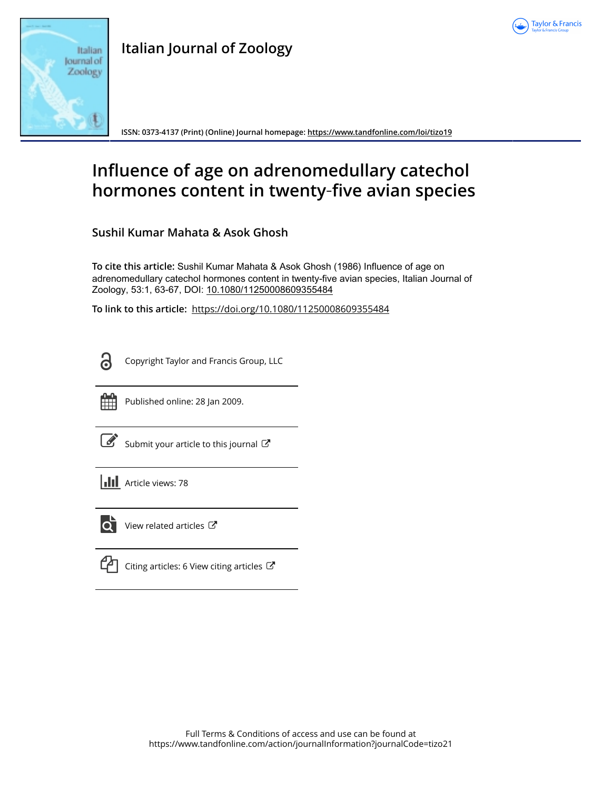



**Italian Journal of Zoology**

**ISSN: 0373-4137 (Print) (Online) Journal homepage:<https://www.tandfonline.com/loi/tizo19>**

# **Influence of age on adrenomedullary catechol hormones content in twenty**‐**five avian species**

**Sushil Kumar Mahata & Asok Ghosh**

**To cite this article:** Sushil Kumar Mahata & Asok Ghosh (1986) Influence of age on adrenomedullary catechol hormones content in twenty‐five avian species, Italian Journal of Zoology, 53:1, 63-67, DOI: [10.1080/11250008609355484](https://www.tandfonline.com/action/showCitFormats?doi=10.1080/11250008609355484)

**To link to this article:** <https://doi.org/10.1080/11250008609355484>

႕

Copyright Taylor and Francis Group, LLC



Published online: 28 Jan 2009.

[Submit your article to this journal](https://www.tandfonline.com/action/authorSubmission?journalCode=tizo21&show=instructions)  $\mathbb{Z}$ 

**III** Article views: 78



 $\overline{Q}$  [View related articles](https://www.tandfonline.com/doi/mlt/10.1080/11250008609355484)  $\overline{C}$ 

[Citing articles: 6 View citing articles](https://www.tandfonline.com/doi/citedby/10.1080/11250008609355484#tabModule)  $\mathbb{Z}$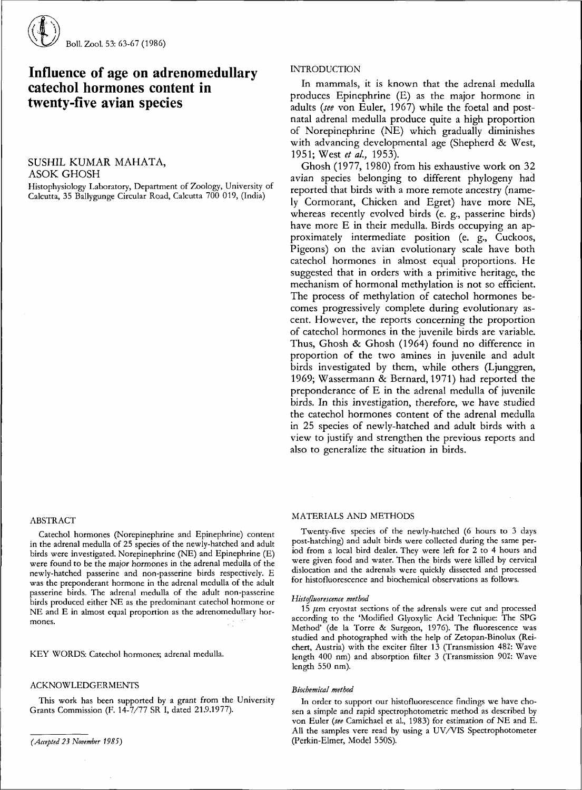

# Influence of age on adrenomedullary catechol hormones content in twenty-five avian species

## SUSHIL KUMAR MAHATA, ASOK GHOSH

Histophysiology Laboratory, Department of Zoology, University of Calcutta, 35 Ballygunge Circular Road, Calcutta 700 019, (India)

### ABSTRACT

Catechol hormones (Norepinephrine and Epinephrine) content in the adrenal medulla of 25 species of the newly-hatched and adult birds were investigated. Norepinephrine (NE) and Epinephrine (E) were found to be the major hormones in the adrenal medulla of the newly-hatched passerine and non-passerine birds respectively. E was the preponderant hormone in the adrenal medulla of the adult passerine birds. The adrenal medulla of the adult non-passerine birds produced either NE as the predominant catechol hormone or NE and E in almost equal proportion as the adrenomedullary hormones.

KEY WORDS: Catechol hormones; adrenal medulla.

#### ACKNOWLEDGERMENTS

This work has been supported by a grant from the University Grants Commission (F. 14-7/77 SR I, dated 21.9.1977).

#### INTRODUCTION

In mammals, it is known that the adrenal medulla produces Epinephrine (E) as the major hormone in adults *(see* von Euler, 1967) while the foetal and postnatal adrenal medulla produce quite a high proportion of Norepinephrine (NE) which gradually diminishes with advancing developmental age (Shepherd & West, 1951; West *eta/.,* 1953).

Ghosh (1977, 1980) from his exhaustive work on 32 avian species belonging to different phylogeny had reported that birds with a more remote ancestry (namely Cormorant, Chicken and Egret) have more NE, whereas recently evolved birds (e. g., passerine birds) have more E in their medulla. Birds occupying an approximately intermediate position (e. g., Cuckoos, Pigeons) on the avian evolutionary scale have both catechol hormones in almost equal proportions. He suggested that in orders with a primitive heritage, the mechanism of hormonal methylation is not so efficient. The process of methylation of catechol hormones becomes progressively complete during evolutionary ascent. However, the reports concerning the proportion of catechol hormones in the juvenile birds are variable. Thus, Ghosh & Ghosh (1964) found no difference in proportion of the two amines in juvenile and adult birds investigated by them, while others (Ljunggren, 1969; Wassermann & Bernard, 1971) had reported the preponderance of E in the adrenal medulla of juvenile birds. In this investigation, therefore, we have studied the catechol hormones content of the adrenal medulla in 25 species of newly-hatched and adult birds with a view to justify and strengthen the previous reports and also to generalize the situation in birds.

#### MATERIALS AND METHODS

Twenty-five species of the newly-hatched (6 hours to 3 days post-hatching) and adult birds were collected during the same period from a local bird dealer. They were left for 2 to 4 hours and were given food and water. Then the birds were killed by cervical dislocation and the adrenals were quickly dissected and processed for histofluorescence and biochemical observations as follows.

#### *Histofluorescence method*

15 *ßm* cryostat sections of the adrenals were cut and processed according to the 'Modified Glyoxylic Acid Technique: The SPG Method' (de la Torre & Surgeon, 1976). The fluorescence was studied and photographed with the help of Zetopan-Binolux (Reichert, Austria) with the exciter filter 13 (Transmission 481: Wave length 400 nm) and absorption filter 3 (Transmission 90%: Wave length 550 nm).

#### *Biochemical method*

In order to support our histofluorescence findings we have chosen a simple and rapid spectrophotometric method as described by von Euler *{see* Camichael et al., 1983) for estimation of NE and E. All the samples vere read by using a UV/VIS Spectrophotometer (Perkin-Elmer, Model 550S).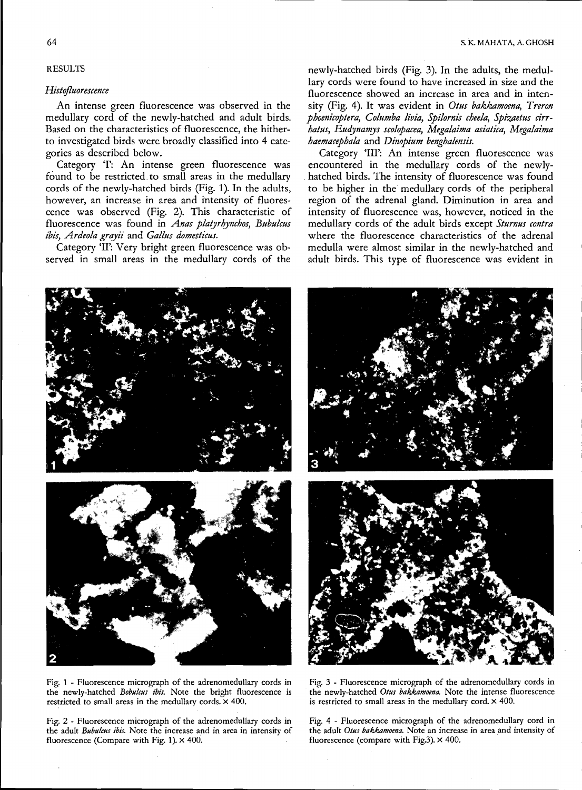# RESULTS

#### *Histofluorescence*

An intense green fluorescence was observed in the medullary cord of the newly-hatched and adult birds. Based on the characteristics of fluorescence, the hitherto investigated birds were broadly classified into 4 categories as described below.

Category T: An intense green fluorescence was found to be restricted to small areas in the medullary cords of the newly-hatched birds (Fig. 1). In the adults, however, an increase in area and intensity of fluorescence was observed (Fig. 2). This characteristic of fluorescence was found in *Anas platjrhymhos, Bubulcus ibis, Ardeola grayii* and *Gallus domesticus.*

Category 'IF: Very bright green fluorescence was observed in small areas in the medullary cords of the

newly-hatched birds (Fig. 3). In the adults, the medullary cords were found to have increased in size and the fluorescence showed an increase in area and in intensity (Fig. 4). It was evident in *Otus bakkamoena, Treron phoenicoptera, Columba livia, Spilornis cheela, Spizaetus cirrhatus, Eudynamys scolopacea, Megalaima asiática, Megalaima haemacephala* and *Dinopium benghalensis.*

Category 'III': An intense green fluorescence was encountered in the medullary cords of the newlyhatched birds. The intensity of fluorescence was found to be higher in the medullary cords of the peripheral region of the adrenal gland. Diminution in area and intensity of fluorescence was, however, noticed in the medullary cords of the adult birds except *Sturnus contra* where the fluorescence characteristics of the adrenal medulla were almost similar in the newly-hatched and adult birds. This type of fluorescence was evident in

Fig. 1 - Fluorescence micrograph of the adrenomedullary cords in the newly-hatched *Bobukus ibis.* Note the bright fluorescence is

restricted to small areas in the medullary cords. X 400. Fig. 2 - Fluorescence micrograph of the adrenomedullary cords in

the adult *Bubulcus ibis.* Note the increase and in area in intensity of fluorescence (Compare with Fig. 1).  $\times$  400.



Fig. 4 - Fluorescence micrograph of the adrenomedullary cord in the adult *Otus bakkamoena.* Note an increase in area and intensity of fluorescence (compare with Fig.3).  $\times$  400.

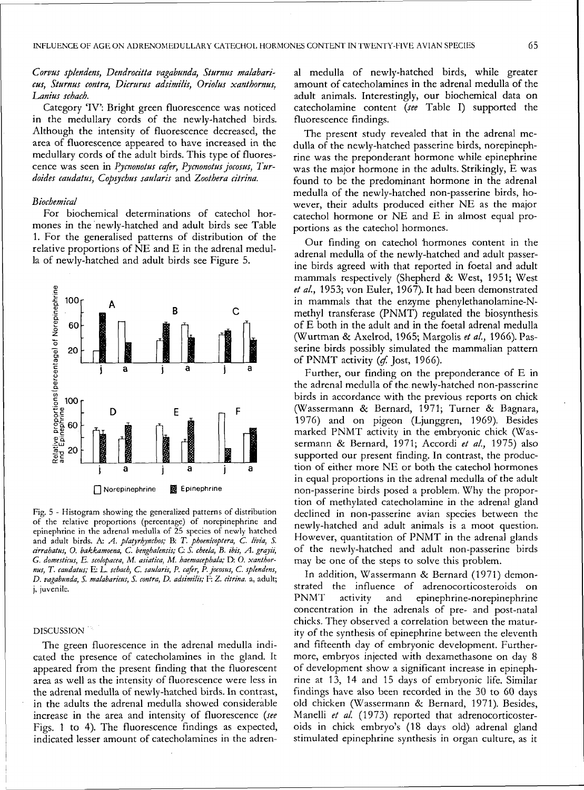# Corvus splendens, Dendrocitta vagabunda, Sturnus malabaricus, Sturnus contra, Dicrurus adsimilis, Oriolus xanthornus, Lanius schach.

Category 'IV': Bright green fluorescence was noticed in the medullary cords of the newly-hatched birds. Although the intensity of fluorescence decreased, the area of fluorescence appeared to have increased in the medullary cords of the adult birds. This type of fluorescence was seen in Pycnonotus cafer, Pycnonotus jocosus, Turdoides caudatus, Copsychus saularis and Zoothera citrina.

#### **Biochemical**

For biochemical determinations of catechol hormones in the newly-hatched and adult birds see Table 1. For the generalised patterns of distribution of the relative proportions of NE and E in the adrenal medulla of newly-hatched and adult birds see Figure 5.



Fig. 5 - Histogram showing the generalized patterns of distribution of the relative proportions (percentage) of norepinephrine and epinephrine in the adrenal medulla of 25 species of newly hatched and adult birds. A: A. platyrhynchos; B: T. phoenicoptera, C. livia, S. cirrahatus, O. bakkamoena, C. benghalensis; C. S. cheela, B. ibis, A. grayii, G. domesticus, E. scolopacea, M. asiatica, M. haemacephala; D: O. xanthornus, T. caudatus; E. L. schach, C. saularis, P. cafer, P. jocosus, C. splendens, D. vagabunda, S. malabaricus, S. contra, D. adsimilis; F. Z. citrina. a, adult; j, juvenile.

#### **DISCUSSION**

The green fluorescence in the adrenal medulla indicated the presence of cate cholamines in the gland. It appeared from the present finding that the fluorescent area as well as the intensity of fluorescence were less in the adrenal medulla of newly-hatched birds. In contrast, in the adults the adrenal medulla showed considerable increase in the area and intensity of fluorescence (see Figs. 1 to 4). The fluorescence findings as expected, indicated lesser amount of catecholamines in the adrenal medulla of newly-hatched birds, while greater amount of catecholamines in the adrenal medulla of the adult animals. Interestingly, our biochemical data on catecholamine content (see Table I) supported the fluorescence findings.

The present study revealed that in the adrenal medulla of the newly-hatched passerine birds, norepinephrine was the preponderant hormone while epinephrine was the major hormone in the adults. Strikingly, E was found to be the predominant hormone in the adrenal medulla of the newly-hatched non-passerine birds, however, their adults produced either NE as the major catechol hormone or NE and E in almost equal proportions as the catechol hormones.

Our finding on catechol hormones content in the adrenal medulla of the newly-hatched and adult passerine birds agreed with that reported in foetal and adult mammals respectively (Shepherd & West, 1951; West et al., 1953; von Euler, 1967). It had been demonstrated in mammals that the enzyme phenylethanolamine-Nmethyl transferase (PNMT) regulated the biosynthesis. of E both in the adult and in the foetal adrenal medulla (Wurtman & Axelrod, 1965; Margolis et al., 1966). Passerine birds possibly simulated the mammalian pattern of PNMT activity  $(f.$  Jost, 1966).

Further, our finding on the preponderance of E in the adrenal medulla of the newly-hatched non-passerine birds in accordance with the previous reports on chick (Wassermann & Bernard, 1971; Turner & Bagnara, 1976) and on pigeon (Ljunggren, 1969). Besides marked PNMT activity in the embryonic chick (Wassermann & Bernard, 1971; Accordi et al., 1975) also supported our present finding. In contrast, the production of either more NE or both the catechol hormones in equal proportions in the adrenal medulla of the adult non-passerine birds posed a problem. Why the proportion of methylated catecholamine in the adrenal gland declined in non-passerine avian species between the newly-hatched and adult animals is a moot question. However, quantitation of PNMT in the adrenal glands of the newly-hatched and adult non-passerine birds may be one of the steps to solve this problem.

In addition, Wassermann & Bernard (1971) demonstrated the influence of adrenocorticosteroids on **PNMT** activity and epinephrine-norepinephrine concentration in the adrenals of pre- and post-natal chicks. They observed a correlation between the maturity of the synthesis of epinephrine between the eleventh and fifteenth day of embryonic development. Furthermore, embryos injected with dexamethasone on day 8 of development show a significant increase in epinephrine at 13, 14 and 15 days of embryonic life. Similar findings have also been recorded in the 30 to 60 days old chicken (Wassermann & Bernard, 1971). Besides, Manelli et al. (1973) reported that adrenocorticosteroids in chick embryo's (18 days old) adrenal gland stimulated epinephrine synthesis in organ culture, as it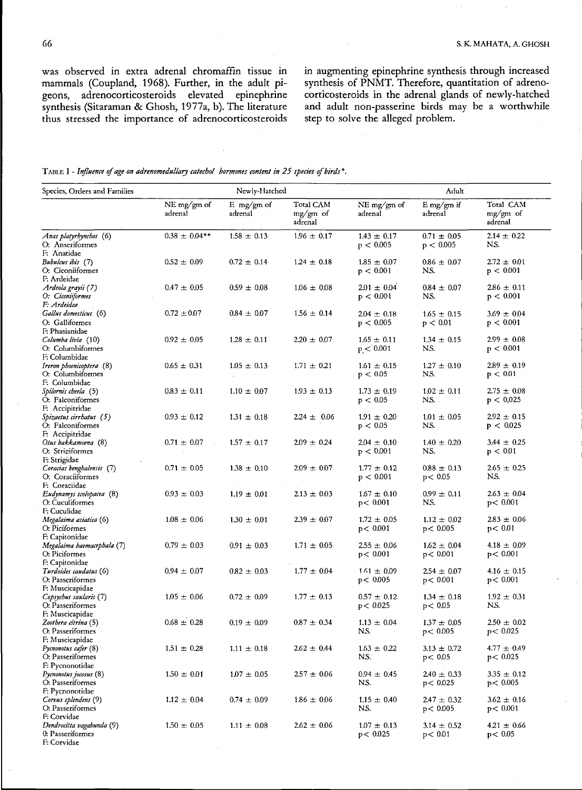was observed in extra adrenal chromaffin tissue in mammals (Coupland, 1968). Further, in the adult pigeons, adrenocorticosteroids elevated epinephrine synthesis (Sitaraman & Ghosh, 1977a, b). The literature thus stressed the importance of adrenocorticosteroids in augmenting epinephrine synthesis through increased synthesis of PNMT. Therefore, quantitation of adrenocorticosteroids in the adrenal glands of newly-hatched and adult non-passerine birds may be a worthwhile step to solve the alleged problem.

TABLE I - *Influence of age on adrenomedullary catechol hormones content in 25 species of birds\*.*

| Species, Orders and Families                                   |                        | Newly-Hatched         |                                    | Adult                        |                              |                                    |  |
|----------------------------------------------------------------|------------------------|-----------------------|------------------------------------|------------------------------|------------------------------|------------------------------------|--|
|                                                                | NE mg/gm of<br>adrenal | E mg/gm of<br>adrenal | Total CAM<br>$mg/gm$ of<br>adrenal | $NE$ mg/gm of<br>adrenal     | $E$ mg/gm if<br>adrenal      | Total CAM<br>$mg/gm$ of<br>adrenal |  |
| Anas platyrhynchos (6)<br>O: Anseriformes<br>F: Anatidae       | $0.38 \pm 0.04**$      | $1.58 \pm 0.13$       | $1.96 \pm 0.17$                    | $1.43 \pm 0.17$<br>p < 0.005 | $0.71 \pm 0.05$<br>p < 0.005 | $2.14 \pm 0.22$<br>NS.             |  |
| Bubulcus ibis (7)<br>O: Ciconiiformes<br>F: Ardeidae           | $0.52 \pm 0.09$        | $0.72 \pm 0.14$       | $1.24 \pm 0.18$                    | $1.85 \pm 0.07$<br>p < 0.001 | $0.86 \pm 0.07$<br>NS.       | $2.72 \pm 0.01$<br>p < 0.001       |  |
| Ardeola grayii (7)<br>O: Ciconiiformes<br>F: Ardeidae          | $0.47 \pm 0.05$        | $0.59 \pm 0.08$       | $1.06 \pm 0.08$                    | $2.01 \pm 0.04$<br>p < 0.001 | $0.84 \pm 0.07$<br>NS.       | $2.86 \pm 0.11$<br>p < 0.001       |  |
| Gallus domesticus (6)<br>O: Galliformes<br>F: Phasianidae      | $0.72 \pm 0.07$        | $0.84 \pm 0.07$       | $1.56 \pm 0.14$                    | $2.04 \pm 0.18$<br>p < 0.005 | $1.65 \pm 0.15$<br>p < 0.01  | $3.69 \pm 0.04$<br>p < 0.001       |  |
| Columba livia (10)<br>O: Columbiformes<br>F: Columbidae        | $0.92 \pm 0.05$        | $1.28 \pm 0.11$       | $2.20 \pm 0.07$                    | $1.65 \pm 0.11$<br>p < 0.001 | $1.34 \pm 0.15$<br>NS.       | $2.99 \pm 0.08$<br>p < 0.001       |  |
| Ireron phoenicoptera (8)<br>O: Columbiformes<br>F: Columbidae  | $0.65 \pm 0.31$        | $1.05 \pm 0.13$       | $1.71 \pm 0.21$                    | $1.61 \pm 0.15$<br>p < 0.05  | $1.27 \pm 0.10$<br>NS.       | $2.89 \pm 0.19$<br>p < 0.01        |  |
| Spilornis cheela (5)<br>O: Falconiformes<br>F: Accipitridae    | $0.83 \pm 0.11$        | $1.10 \pm 0.07$       | $1.93 \pm 0.13$                    | $1.73 \pm 0.19$<br>p < 0.05  | $1.02 \pm 0.11$<br>NS. .     | $2.75 \pm 0.08$<br>$p < 0.025$ .   |  |
| Spizaetus cirrhatus (5)<br>O: Falconiformes<br>F: Accipitridae | $0.93 \pm 0.12$        | $1.31 \pm 0.18$       | $2.24 \pm 0.06$                    | $1.91 \pm 0.20$<br>p < 0.05  | $1.01 \pm 0.05$<br>NS.       | $2.92 \pm 0.15$<br>p < 0.025       |  |
| Otus bakkamoena (8)<br>O: Strigiformes<br>F: Strigidae         | $0.71 \pm 0.07$        | $1.57 \pm 0.17$       | $2.09 \pm 0.24$                    | $2.04 \pm 0.10$<br>p < 0.001 | $1.40 \pm 0.20$<br>NS.       | $3.44 \pm 0.25$<br>p < 0.01        |  |
| Coracias benghalensis (7)<br>O: Coraciiformes<br>F: Coraciidae | $0.71 \pm 0.05$        | $1.38 \pm 0.10$       | $2.09 \pm 0.07$                    | $1.77 \pm 0.12$<br>p < 0.001 | $0.88 \pm 0.13$<br>p < 0.05  | $2.65 \pm 0.25$<br>NS.             |  |
| Eudynamys scolopacea (8)<br>O: Cuculiformes<br>F: Cuculidae    | $0.93 \pm 0.03$        | $1.19 \pm 0.01$       | $2.13 \pm 0.03$                    | $1.67 \pm 0.10$<br>p < 0.001 | $0.99 \pm 0.11$<br>NS.       | $2.63 \pm 0.04$<br>p < 0.001       |  |
| Megalaima asiatica (6)<br>O: Piciformes<br>F: Capitonidae      | $1.08 \pm 0.06$        | $1.30 \pm 0.01$       | $2.39 \pm 0.07$                    | $1.72 \pm 0.05$<br>p < 0.001 | $1.12 \pm 0.02$<br>p < 0.005 | $2.83 \pm 0.06$<br>p < 0.01        |  |
| Megalaima haemacephala (7)<br>O: Piciformes<br>F: Capitonidae  | $0.79 \pm 0.03$        | $0.91 \pm 0.03$       | $1.71 \pm 0.05$                    | $2.55 \pm 0.06$<br>p < 0.001 | $1.62 \pm 0.04$<br>p < 0.001 | $4.18 \pm 0.09$<br>p < 0.001       |  |
| Turdoides caudatus (6)<br>O: Passeriformes<br>F: Muscicapidae  | $0.94 \pm 0.07$        | $0.82 \pm 0.03$       | $1.77 \pm 0.04$                    | $161 \pm 0.09$<br>p < 0.005  | $2.54 \pm 0.07$<br>p < 0.001 | $4.16 \pm 0.15$<br>p < 0.001       |  |
| Copsychus saularis (7)<br>O: Passeriformes<br>F: Muscicapidae  | $1.05 \pm 0.06$        | $0.72 \pm 0.09$       | $1.77 \pm 0.13$                    | $0.57 \pm 0.12$<br>p < 0.025 | $1.34 \pm 0.18$<br>p < 0.05  | $1.92 \pm 0.31$<br>NS.             |  |
| Zoothera citrina (5)<br>O: Passeriformes<br>F: Muscicapidae    | $0.68 \pm 0.28$        | $0.19 \pm 0.09$       | $0.87 \pm 0.34$                    | $1.13 \pm 0.04$<br>NS.       | $1.37 \pm 0.05$<br>p < 0.005 | $2.50 \pm 0.02$<br>p < 0.025       |  |
| Pycnonotus cafer (8)<br>O: Passeriformes<br>F: Pycnonotidae    | $1.51\,\pm\,0.28$      | $1.11 \pm 0.18$       | $2.62 \pm 0.44$                    | $1.63 \pm 0.22$<br>NS.       | $3.13 \pm 0.72$<br>p < 0.05  | $4.77 \pm 0.49$<br>p<.0025         |  |
| Pycnonotus jocosus (8)<br>O: Passeriformes<br>F: Pycnonotidae  | $1.50 \pm 0.01$        | $1.07 \pm 0.05$       | $2.57 \pm 0.06$                    | $0.94 \pm 0.45$<br>NS.       | $2.40 \pm 0.33$<br>p < 0.025 | $3.35 \pm 0.12$<br>p < 0.005       |  |
| Corvus splendens (9)<br>O: Passeriformes<br>F: Corvidae        | $1.12 \pm 0.04$        | $0.74 \pm 0.09$       | $1.86 \pm 0.06$                    | $1.15 \pm 0.40$<br>NS.       | $2.47 \pm 0.32$<br>p < 0.005 | $3.62 \pm 0.16$<br>p < 0.001       |  |
| Dendrocitta vagabunda (9)<br>0: Passeriformes<br>F: Corvidae   | $1.50 \pm 0.05$        | $1.11 \pm 0.08$       | $2.62 \pm 0.06$                    | $1.07 \pm 0.13$<br>p < 0.025 | $3.14 \pm 0.52$<br>p < 0.01  | $4.21 \pm 0.66$<br>p < 0.05        |  |